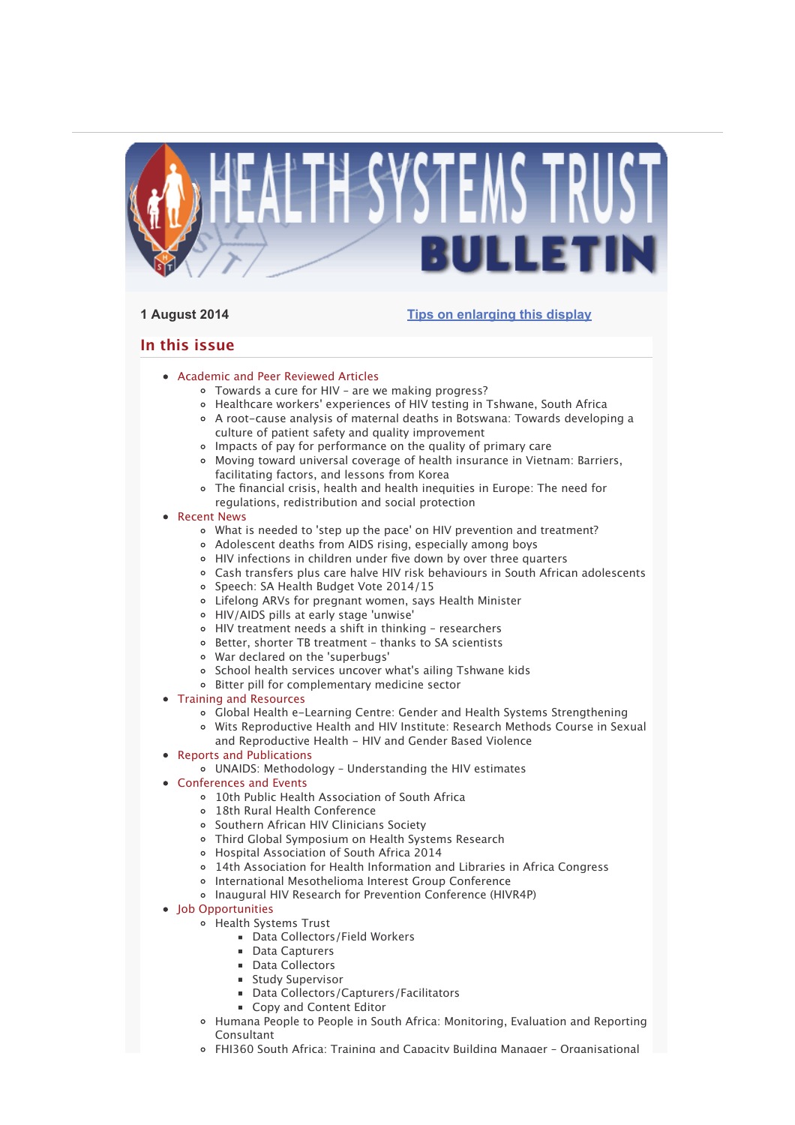

# **1 August 2014 Tips on enlarging this display**

# **In this issue**

- Academic and Peer Reviewed Articles
	- Towards a cure for HIV are we making progress?
	- Healthcare workers' experiences of HIV testing in Tshwane, South Africa
	- A root-cause analysis of maternal deaths in Botswana: Towards developing a culture of patient safety and quality improvement
	- Impacts of pay for performance on the quality of primary care
	- Moving toward universal coverage of health insurance in Vietnam: Barriers, facilitating factors, and lessons from Korea
	- The financial crisis, health and health inequities in Europe: The need for regulations, redistribution and social protection
- Recent News
	- What is needed to 'step up the pace' on HIV prevention and treatment?
	- Adolescent deaths from AIDS rising, especially among boys
	- HIV infections in children under five down by over three quarters
	- Cash transfers plus care halve HIV risk behaviours in South African adolescents
	- o Speech: SA Health Budget Vote 2014/15
	- Lifelong ARVs for pregnant women, says Health Minister
	- HIV/AIDS pills at early stage 'unwise'
	- HIV treatment needs a shift in thinking researchers
	- Better, shorter TB treatment thanks to SA scientists
	- War declared on the 'superbugs'
	- o School health services uncover what's ailing Tshwane kids
	- Bitter pill for complementary medicine sector
- Training and Resources
	- Global Health e-Learning Centre: Gender and Health Systems Strengthening
	- Wits Reproductive Health and HIV Institute: Research Methods Course in Sexual and Reproductive Health - HIV and Gender Based Violence
- Reports and Publications
	- UNAIDS: Methodology Understanding the HIV estimates
- Conferences and Events
	- 10th Public Health Association of South Africa
	- 18th Rural Health Conference
	- Southern African HIV Clinicians Society
	- Third Global Symposium on Health Systems Research
	- Hospital Association of South Africa 2014
	- 14th Association for Health Information and Libraries in Africa Congress
	- o International Mesothelioma Interest Group Conference
	- Inaugural HIV Research for Prevention Conference (HIVR4P)
- Job Opportunities
	- Health Systems Trust
		- Data Collectors/Field Workers
		- **Data Capturers**
		- **Data Collectors**
		- **Study Supervisor**
		- Data Collectors/Capturers/Facilitators
		- Copy and Content Editor
	- Humana People to People in South Africa: Monitoring, Evaluation and Reporting Consultant
	- FHI360 South Africa: Training and Capacity Building Manager Organisational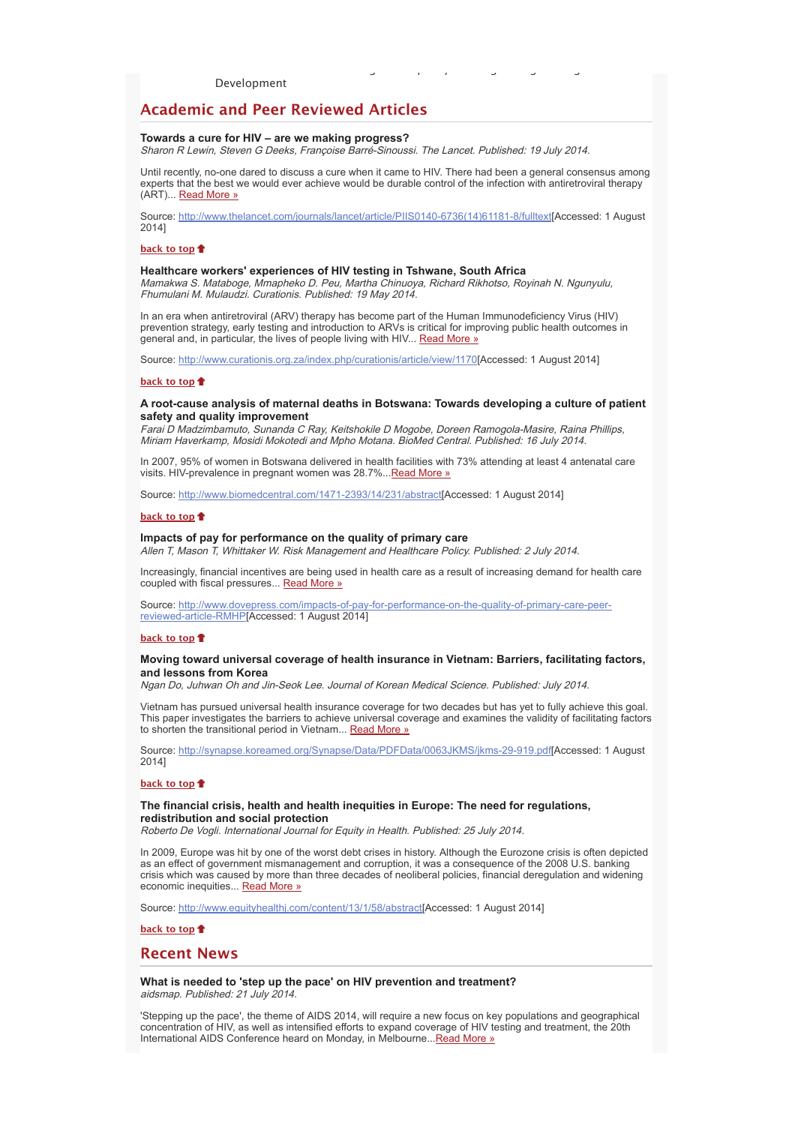Development

# **Academic and Peer Reviewed Articles**

## **Towards a cure for HIV – are we making progress?**

Sharon R Lewin, Steven G Deeks, Françoise Barré-Sinoussi. The Lancet. Published: 19 July 2014.

Until recently, no-one dared to discuss a cure when it came to HIV. There had been a general consensus among experts that the best we would ever achieve would be durable control of the infection with antiretroviral therapy (ART)... Read More »

g py g g g

Source: http://www.thelancet.com/journals/lancet/article/PIIS0140-6736(14)61181-8/fulltext[Accessed: 1 August 2014]

#### **back to top**

## **Healthcare workers' experiences of HIV testing in Tshwane, South Africa**

Mamakwa S. Mataboge, Mmapheko D. Peu, Martha Chinuoya, Richard Rikhotso, Royinah N. Ngunyulu, Fhumulani M. Mulaudzi. Curationis. Published: 19 May 2014.

In an era when antiretroviral (ARV) therapy has become part of the Human Immunodeficiency Virus (HIV) prevention strategy, early testing and introduction to ARVs is critical for improving public health outcomes in general and, in particular, the lives of people living with HIV... Read More »

Source: http://www.curationis.org.za/index.php/curationis/article/view/1170[Accessed: 1 August 2014]

#### **back to top**

## **A root-cause analysis of maternal deaths in Botswana: Towards developing a culture of patient safety and quality improvement**

Farai D Madzimbamuto, Sunanda C Ray, Keitshokile D Mogobe, Doreen Ramogola-Masire, Raina Phillips, Miriam Haverkamp, Mosidi Mokotedi and Mpho Motana. BioMed Central. Published: 16 July 2014.

In 2007, 95% of women in Botswana delivered in health facilities with 73% attending at least 4 antenatal care visits. HIV-prevalence in pregnant women was 28.7%... Read More »

Source: http://www.biomedcentral.com/1471-2393/14/231/abstract[Accessed: 1 August 2014]

## **back to top**

## **Impacts of pay for performance on the quality of primary care**

Allen T, Mason T, Whittaker W. Risk Management and Healthcare Policy. Published: 2 July 2014.

Increasingly, financial incentives are being used in health care as a result of increasing demand for health care coupled with fiscal pressures... Read More »

Source: http://www.dovepress.com/impacts-of-pay-for-performance-on-the-quality-of-primary-care-peerreviewed-article-RMHP[Accessed: 1 August 2014]

## **back to top**

## **Moving toward universal coverage of health insurance in Vietnam: Barriers, facilitating factors, and lessons from Korea**

Ngan Do, Juhwan Oh and Jin-Seok Lee. Journal of Korean Medical Science. Published: July 2014.

Vietnam has pursued universal health insurance coverage for two decades but has yet to fully achieve this goal. This paper investigates the barriers to achieve universal coverage and examines the validity of facilitating factors to shorten the transitional period in Vietnam... Read More »

Source: http://synapse.koreamed.org/Synapse/Data/PDFData/0063JKMS/jkms-29-919.pdf[Accessed: 1 August 2014]

#### **back to top**

## **The financial crisis, health and health inequities in Europe: The need for regulations, redistribution and social protection**

Roberto De Vogli. International Journal for Equity in Health. Published: 25 July 2014.

In 2009, Europe was hit by one of the worst debt crises in history. Although the Eurozone crisis is often depicted as an effect of government mismanagement and corruption, it was a consequence of the 2008 U.S. banking crisis which was caused by more than three decades of neoliberal policies, financial deregulation and widening economic inequities... Read More »

Source: http://www.equityhealthj.com/content/13/1/58/abstract[Accessed: 1 August 2014]

## **back to top**

## **Recent News**

**What is needed to 'step up the pace' on HIV prevention and treatment?** aidsmap. Published: 21 July 2014.

'Stepping up the pace', the theme of AIDS 2014, will require a new focus on key populations and geographical concentration of HIV, as well as intensified efforts to expand coverage of HIV testing and treatment, the 20th International AIDS Conference heard on Monday, in Melbourne... Read More »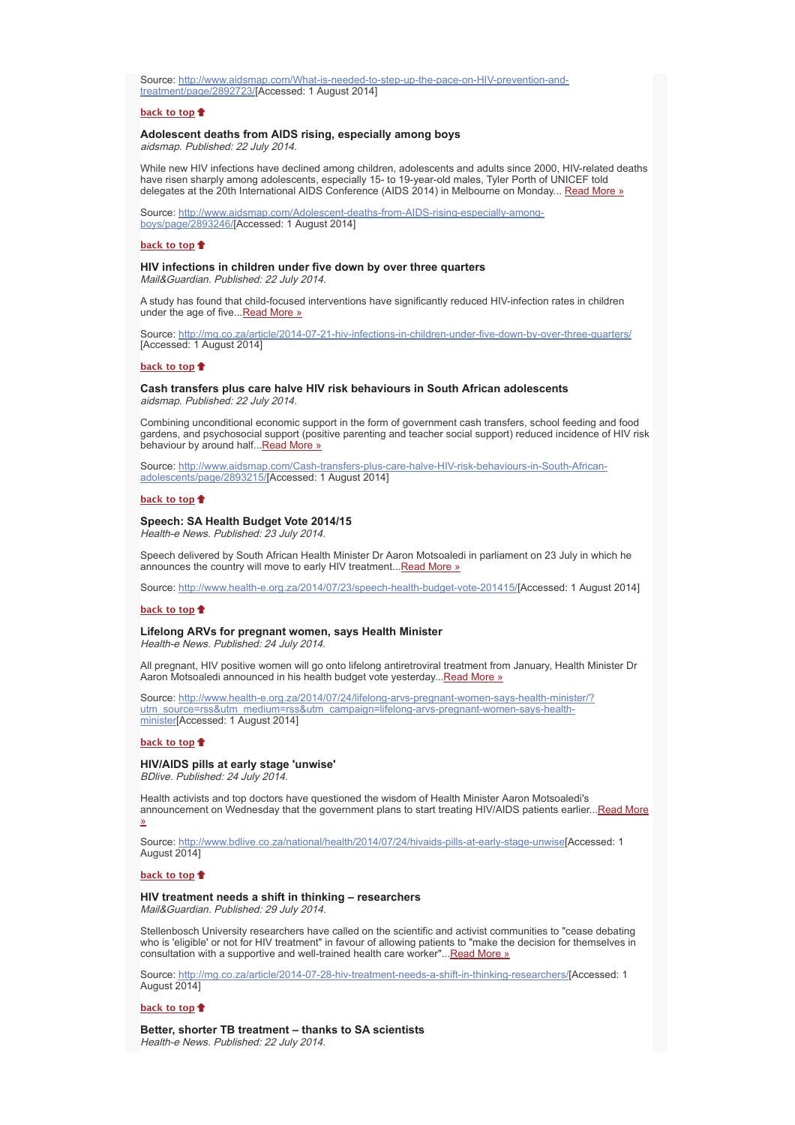Source: http://www.aidsmap.com/What-is-needed-to-step-up-the-pace-on-HIV-prevention-andtreatment/page/2892723/[Accessed: 1 August 2014]

## **back to top**

## **Adolescent deaths from AIDS rising, especially among boys**

aidsmap. Published: 22 July 2014.

While new HIV infections have declined among children, adolescents and adults since 2000, HIV-related deaths have risen sharply among adolescents, especially 15- to 19-year-old males, Tyler Porth of UNICEF told delegates at the 20th International AIDS Conference (AIDS 2014) in Melbourne on Monday... Read More »

Source: http://www.aidsmap.com/Adolescent-deaths-from-AIDS-rising-especially-amongboys/page/2893246/[Accessed: 1 August 2014]

## **back to top**

## **HIV infections in children under five down by over three quarters** Mail&Guardian. Published: 22 July 2014.

A study has found that child-focused interventions have significantly reduced HIV-infection rates in children under the age of five...Read More »

Source: http://mg.co.za/article/2014-07-21-hiv-infections-in-children-under-five-down-by-over-three-quarters/ [Accessed: 1 August 2014]

## **back to top**

## **Cash transfers plus care halve HIV risk behaviours in South African adolescents** aidsmap. Published: 22 July 2014.

Combining unconditional economic support in the form of government cash transfers, school feeding and food gardens, and psychosocial support (positive parenting and teacher social support) reduced incidence of HIV risk behaviour by around half... Read More »

Source: http://www.aidsmap.com/Cash-transfers-plus-care-halve-HIV-risk-behaviours-in-South-Africanadolescents/page/2893215/[Accessed: 1 August 2014]

#### **back to top**

## **Speech: SA Health Budget Vote 2014/15**

Health-e News. Published: 23 July 2014.

Speech delivered by South African Health Minister Dr Aaron Motsoaledi in parliament on 23 July in which he announces the country will move to early HIV treatment...Read More »

Source: http://www.health-e.org.za/2014/07/23/speech-health-budget-vote-201415/[Accessed: 1 August 2014]

#### **back to top**

#### **Lifelong ARVs for pregnant women, says Health Minister**

Health-e News. Published: 24 July 2014.

All pregnant, HIV positive women will go onto lifelong antiretroviral treatment from January, Health Minister Dr Aaron Motsoaledi announced in his health budget vote yesterday...Read More »

Source: http://www.health-e.org.za/2014/07/24/lifelong-arvs-pregnant-women-says-health-minister/? utm\_source=rss&utm\_medium=rss&utm\_campaign=lifelong-arvs-pregnant-women-says-healthminister[Accessed: 1 August 2014]

#### **back to top**

## **HIV/AIDS pills at early stage 'unwise'**

BDlive. Published: 24 July 2014.

Health activists and top doctors have questioned the wisdom of Health Minister Aaron Motsoaledi's announcement on Wednesday that the government plans to start treating HIV/AIDS patients earlier...Read More »

Source: http://www.bdlive.co.za/national/health/2014/07/24/hivaids-pills-at-early-stage-unwise[Accessed: 1 August 2014]

## **back to top**

# **HIV treatment needs a shift in thinking – researchers**

Mail&Guardian. Published: 29 July 2014.

Stellenbosch University researchers have called on the scientific and activist communities to "cease debating who is 'eligible' or not for HIV treatment" in favour of allowing patients to "make the decision for themselves in consultation with a supportive and well-trained health care worker"...Read More »

Source: http://mg.co.za/article/2014-07-28-hiv-treatment-needs-a-shift-in-thinking-researchers/[Accessed: 1 August 2014]

#### **back to top**

**Better, shorter TB treatment – thanks to SA scientists** Health-e News. Published: 22 July 2014.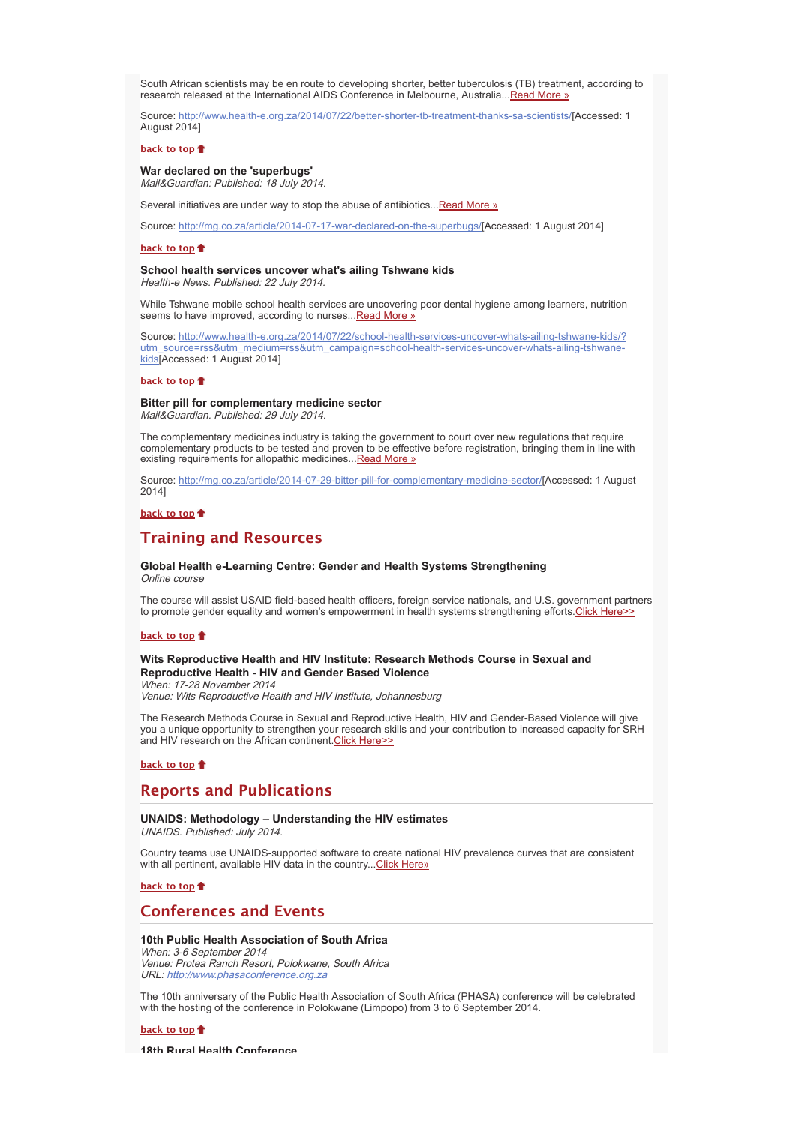South African scientists may be en route to developing shorter, better tuberculosis (TB) treatment, according to research released at the International AIDS Conference in Melbourne, Australia...Read More »

Source: http://www.health-e.org.za/2014/07/22/better-shorter-tb-treatment-thanks-sa-scientists/[Accessed: 1 August 2014]

## **back to top**

## **War declared on the 'superbugs'** Mail&Guardian: Published: 18 July 2014.

Several initiatives are under way to stop the abuse of antibiotics... Read More »

Source: http://mg.co.za/article/2014-07-17-war-declared-on-the-superbugs/[Accessed: 1 August 2014]

## **back to top**

## **School health services uncover what's ailing Tshwane kids**

Health-e News. Published: 22 July 2014.

While Tshwane mobile school health services are uncovering poor dental hygiene among learners, nutrition seems to have improved, according to nurses...Read More »

Source: http://www.health-e.org.za/2014/07/22/school-health-services-uncover-whats-ailing-tshwane-kids/? utm\_source=rss&utm\_medium=rss&utm\_campaign=school-health-services-uncover-whats-ailing-tshwanekids[Accessed: 1 August 2014]

#### **back to top**

## **Bitter pill for complementary medicine sector**

Mail&Guardian. Published: 29 July 2014.

The complementary medicines industry is taking the government to court over new regulations that require complementary products to be tested and proven to be effective before registration, bringing them in line with existing requirements for allopathic medicines... Read More »

Source: http://mg.co.za/article/2014-07-29-bitter-pill-for-complementary-medicine-sector/[Accessed: 1 August 2014]

## **back to top**

# **Training and Resources**

## **Global Health e-Learning Centre: Gender and Health Systems Strengthening** Online course

The course will assist USAID field-based health officers, foreign service nationals, and U.S. government partners to promote gender equality and women's empowerment in health systems strengthening efforts.Click Here>>

#### **back to top**

## **Wits Reproductive Health and HIV Institute: Research Methods Course in Sexual and Reproductive Health - HIV and Gender Based Violence**

When: 17-28 November 2014 Venue: Wits Reproductive Health and HIV Institute, Johannesburg

The Research Methods Course in Sexual and Reproductive Health, HIV and Gender-Based Violence will give you a unique opportunity to strengthen your research skills and your contribution to increased capacity for SRH and HIV research on the African continent. Click Here>>

## **back to top**

# **Reports and Publications**

#### **UNAIDS: Methodology – Understanding the HIV estimates** UNAIDS. Published: July 2014.

Country teams use UNAIDS-supported software to create national HIV prevalence curves that are consistent with all pertinent, available HIV data in the country... Click Here»

## **back to top**

# **Conferences and Events**

## **10th Public Health Association of South Africa**

When: 3-6 September 2014 Venue: Protea Ranch Resort, Polokwane, South Africa URL: http://www.phasaconference.org.za

The 10th anniversary of the Public Health Association of South Africa (PHASA) conference will be celebrated with the hosting of the conference in Polokwane (Limpopo) from 3 to 6 September 2014.

**back to top**

**18th Rural Health Conference**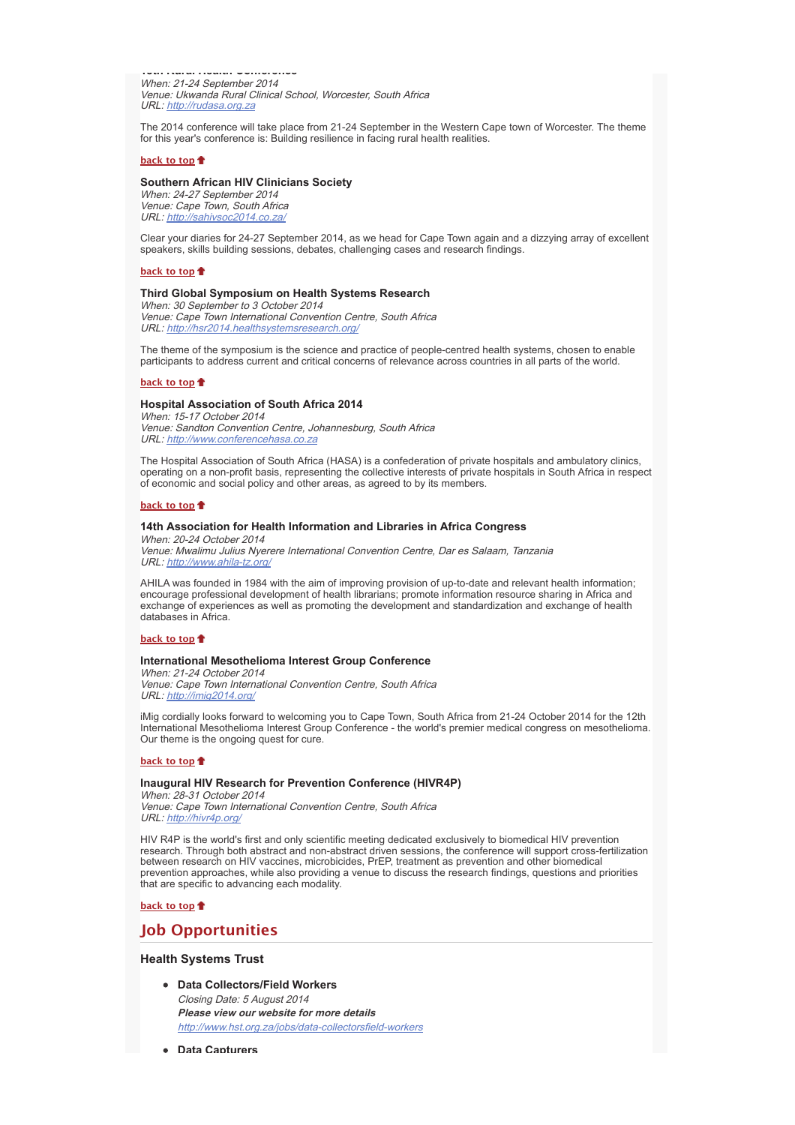**18th Rural Health Conference** When: 21-24 September 2014 Venue: Ukwanda Rural Clinical School, Worcester, South Africa URL: http://rudasa.org.za

The 2014 conference will take place from 21-24 September in the Western Cape town of Worcester. The theme for this year's conference is: Building resilience in facing rural health realities.

## **back to top**

## **Southern African HIV Clinicians Society**

When: 24-27 September 2014 Venue: Cape Town, South Africa URL: http://sahivsoc2014.co.za/

Clear your diaries for 24-27 September 2014, as we head for Cape Town again and a dizzying array of excellent speakers, skills building sessions, debates, challenging cases and research findings.

#### **back to top**

## **Third Global Symposium on Health Systems Research**

When: 30 September to 3 October 2014 Venue: Cape Town International Convention Centre, South Africa URL: http://hsr2014.healthsystemsresearch.org/

The theme of the symposium is the science and practice of people-centred health systems, chosen to enable participants to address current and critical concerns of relevance across countries in all parts of the world.

#### **back to top**

## **Hospital Association of South Africa 2014**

When: 15-17 October 2014 Venue: Sandton Convention Centre, Johannesburg, South Africa URL: http://www.conferencehasa.co.za

The Hospital Association of South Africa (HASA) is a confederation of private hospitals and ambulatory clinics, operating on a non-profit basis, representing the collective interests of private hospitals in South Africa in respect of economic and social policy and other areas, as agreed to by its members.

#### **back to top**

## **14th Association for Health Information and Libraries in Africa Congress**

When: 20-24 October 2014 Venue: Mwalimu Julius Nyerere International Convention Centre, Dar es Salaam, Tanzania URL: http://www.ahila-tz.org/

AHILA was founded in 1984 with the aim of improving provision of up-to-date and relevant health information; encourage professional development of health librarians; promote information resource sharing in Africa and exchange of experiences as well as promoting the development and standardization and exchange of health databases in Africa.

#### **back to top**

## **International Mesothelioma Interest Group Conference**

When: 21-24 October 2014 Venue: Cape Town International Convention Centre, South Africa URL: http://imig2014.org/

iMig cordially looks forward to welcoming you to Cape Town, South Africa from 21-24 October 2014 for the 12th International Mesothelioma Interest Group Conference - the world's premier medical congress on mesothelioma. Our theme is the ongoing quest for cure.

## **back to top**

## **Inaugural HIV Research for Prevention Conference (HIVR4P)**

When: 28-31 October 2014 Venue: Cape Town International Convention Centre, South Africa URL: http://hivr4p.org/

HIV R4P is the world's first and only scientific meeting dedicated exclusively to biomedical HIV prevention research. Through both abstract and non-abstract driven sessions, the conference will support cross-fertilization between research on HIV vaccines, microbicides, PrEP, treatment as prevention and other biomedical prevention approaches, while also providing a venue to discuss the research findings, questions and priorities that are specific to advancing each modality.

## **back to top**

# **Job Opportunities**

## **Health Systems Trust**

- **Data Collectors/Field Workers** Closing Date: 5 August 2014 **Please view our website for more details** http://www.hst.org.za/jobs/data-collectorsfield-workers
- **Data Capturers**